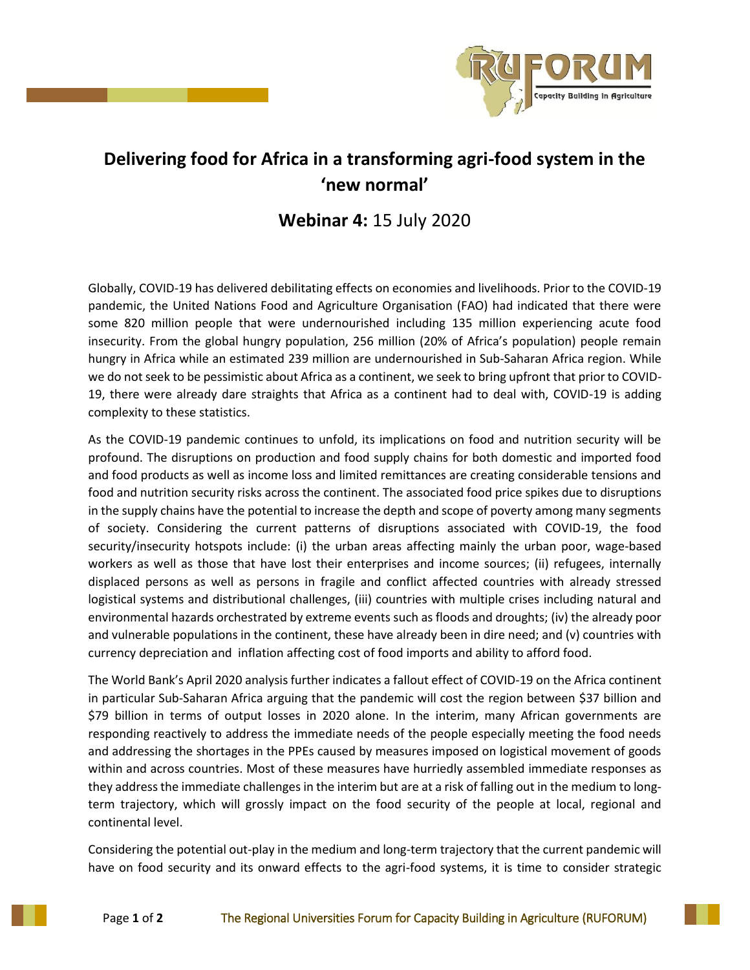

## **Delivering food for Africa in a transforming agri-food system in the 'new normal'**

**Webinar 4:** 15 July 2020

Globally, COVID-19 has delivered debilitating effects on economies and livelihoods. Prior to the COVID-19 pandemic, the United Nations Food and Agriculture Organisation (FAO) had indicated that there were some 820 million people that were undernourished including 135 million experiencing acute food insecurity. From the global hungry population, 256 million (20% of Africa's population) people remain hungry in Africa while an estimated 239 million are undernourished in Sub-Saharan Africa region. While we do not seek to be pessimistic about Africa as a continent, we seek to bring upfront that prior to COVID-19, there were already dare straights that Africa as a continent had to deal with, COVID-19 is adding complexity to these statistics.

As the COVID-19 pandemic continues to unfold, its implications on food and nutrition security will be profound. The disruptions on production and food supply chains for both domestic and imported food and food products as well as income loss and limited remittances are creating considerable tensions and food and nutrition security risks across the continent. The associated food price spikes due to disruptions in the supply chains have the potential to increase the depth and scope of poverty among many segments of society. Considering the current patterns of disruptions associated with COVID-19, the food security/insecurity hotspots include: (i) the urban areas affecting mainly the urban poor, wage-based workers as well as those that have lost their enterprises and income sources; (ii) refugees, internally displaced persons as well as persons in fragile and conflict affected countries with already stressed logistical systems and distributional challenges, (iii) countries with multiple crises including natural and environmental hazards orchestrated by extreme events such as floods and droughts; (iv) the already poor and vulnerable populations in the continent, these have already been in dire need; and (v) countries with currency depreciation and inflation affecting cost of food imports and ability to afford food.

The World Bank's April 2020 analysis further indicates a fallout effect of COVID-19 on the Africa continent in particular Sub-Saharan Africa arguing that the pandemic will cost the region between \$37 billion and \$79 billion in terms of output losses in 2020 alone. In the interim, many African governments are responding reactively to address the immediate needs of the people especially meeting the food needs and addressing the shortages in the PPEs caused by measures imposed on logistical movement of goods within and across countries. Most of these measures have hurriedly assembled immediate responses as they address the immediate challenges in the interim but are at a risk of falling out in the medium to longterm trajectory, which will grossly impact on the food security of the people at local, regional and continental level.

Considering the potential out-play in the medium and long-term trajectory that the current pandemic will have on food security and its onward effects to the agri-food systems, it is time to consider strategic